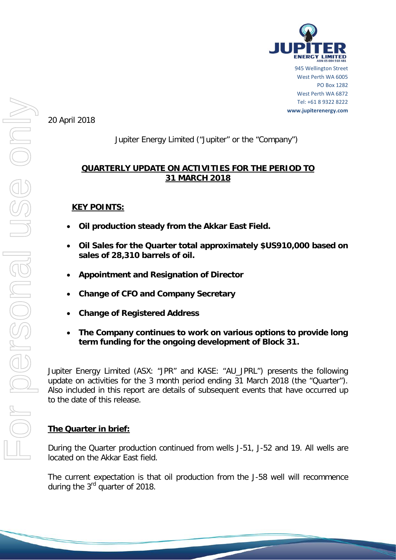

945 Wellington Street West Perth WA 6005 PO Box 1282 West Perth WA 6872 Tel: +61 8 9322 8222 **www.jupiterenergy.com**

20 April 2018

# Jupiter Energy Limited ("Jupiter" or the "Company")

# **QUARTERLY UPDATE ON ACTIVITIES FOR THE PERIOD TO 31 MARCH 2018**

## **KEY POINTS:**

- **Oil production steady from the Akkar East Field.**
- **Oil Sales for the Quarter total approximately \$US910,000 based on sales of 28,310 barrels of oil.**
- **Appointment and Resignation of Director**
- **Change of CFO and Company Secretary**
- **Change of Registered Address**
- **The Company continues to work on various options to provide long term funding for the ongoing development of Block 31.**

Jupiter Energy Limited (ASX: "JPR" and KASE: "AU\_JPRL") presents the following update on activities for the 3 month period ending 31 March 2018 (the "Quarter"). Also included in this report are details of subsequent events that have occurred up to the date of this release.

## **The Quarter in brief:**

During the Quarter production continued from wells J-51, J-52 and 19. All wells are located on the Akkar East field.

The current expectation is that oil production from the J-58 well will recommence during the 3<sup>rd</sup> quarter of 2018.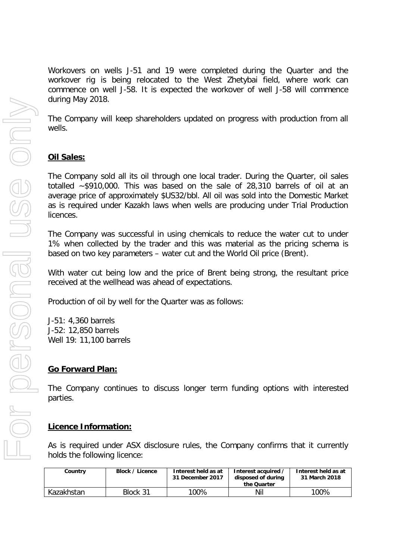Workovers on wells J-51 and 19 were completed during the Quarter and the workover rig is being relocated to the West Zhetybai field, where work can commence on well J-58. It is expected the workover of well J-58 will commence during May 2018.

The Company will keep shareholders updated on progress with production from all wells.

## **Oil Sales:**

The Company sold all its oil through one local trader. During the Quarter, oil sales totalled ~\$910,000. This was based on the sale of 28,310 barrels of oil at an average price of approximately \$US32/bbl. All oil was sold into the Domestic Market as is required under Kazakh laws when wells are producing under Trial Production licences.

The Company was successful in using chemicals to reduce the water cut to under 1% when collected by the trader and this was material as the pricing schema is based on two key parameters – water cut and the World Oil price (Brent).

With water cut being low and the price of Brent being strong, the resultant price received at the wellhead was ahead of expectations.

Production of oil by well for the Quarter was as follows:

J-51: 4,360 barrels J-52: 12,850 barrels Well 19: 11,100 barrels

## **Go Forward Plan:**

The Company continues to discuss longer term funding options with interested parties.

### **Licence Information:**

As is required under ASX disclosure rules, the Company confirms that it currently holds the following licence:

| Country    | Block / Licence | Interest held as at<br>31 December 2017 | Interest acquired<br>disposed of during<br>the Quarter | Interest held as at<br>31 March 2018 |
|------------|-----------------|-----------------------------------------|--------------------------------------------------------|--------------------------------------|
| Kazakhstan | Block 31        | 100%                                    | Nil                                                    | 100%                                 |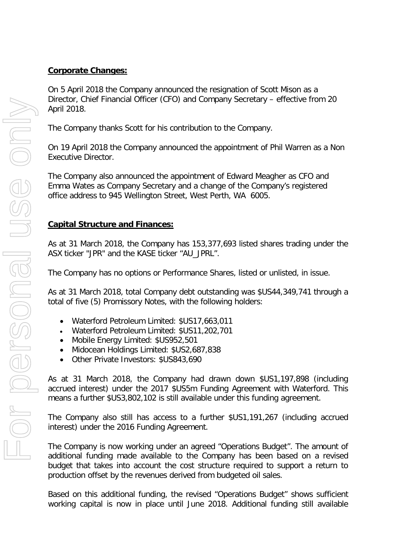## **Corporate Changes:**

On 5 April 2018 the Company announced the resignation of Scott Mison as a Director, Chief Financial Officer (CFO) and Company Secretary – effective from 20 April 2018.

The Company thanks Scott for his contribution to the Company.

On 19 April 2018 the Company announced the appointment of Phil Warren as a Non Executive Director.

The Company also announced the appointment of Edward Meagher as CFO and Emma Wates as Company Secretary and a change of the Company's registered office address to 945 Wellington Street, West Perth, WA 6005.

# **Capital Structure and Finances:**

As at 31 March 2018, the Company has 153,377,693 listed shares trading under the ASX ticker "JPR" and the KASE ticker "AU\_JPRL".

The Company has no options or Performance Shares, listed or unlisted, in issue.

As at 31 March 2018, total Company debt outstanding was \$US44,349,741 through a total of five (5) Promissory Notes, with the following holders:

- Waterford Petroleum Limited: \$US17,663,011
- Waterford Petroleum Limited: \$US11,202,701
- Mobile Energy Limited: \$US952,501
- Midocean Holdings Limited: \$US2,687,838
- Other Private Investors: \$US843,690

As at 31 March 2018, the Company had drawn down \$US1,197,898 (including accrued interest) under the 2017 \$US5m Funding Agreement with Waterford. This means a further \$US3,802,102 is still available under this funding agreement.

The Company also still has access to a further \$US1,191,267 (including accrued interest) under the 2016 Funding Agreement.

The Company is now working under an agreed "Operations Budget". The amount of additional funding made available to the Company has been based on a revised budget that takes into account the cost structure required to support a return to production offset by the revenues derived from budgeted oil sales.

Based on this additional funding, the revised "Operations Budget" shows sufficient working capital is now in place until June 2018. Additional funding still available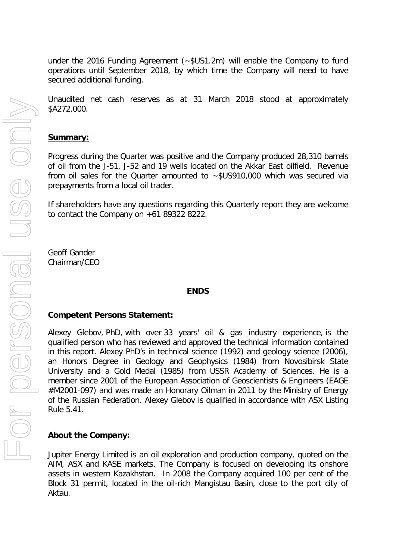under the 2016 Funding Agreement (~\$US1.2m) will enable the Company to fund operations until September 2018, by which time the Company will need to have secured additional funding.

Unaudited net cash reserves as at 31 March 2018 stood at approximately \$A272,000.

### **Summary:**

Progress during the Quarter was positive and the Company produced 28,310 barrels of oil from the J-51, J-52 and 19 wells located on the Akkar East oilfield. Revenue from oil sales for the Quarter amounted to ~\$US910,000 which was secured via prepayments from a local oil trader.

If shareholders have any questions regarding this Quarterly report they are welcome to contact the Company on +61 89322 8222.

Geoff Gander Chairman/CEO

#### **ENDS**

#### **Competent Persons Statement:**

Alexey Glebov, PhD, with over 33 years' oil & gas industry experience, is the qualified person who has reviewed and approved the technical information contained in this report. Alexey PhD's in technical science (1992) and geology science (2006), an Honors Degree in Geology and Geophysics (1984) from Novosibirsk State University and a Gold Medal (1985) from USSR Academy of Sciences. He is a member since 2001 of the European Association of Geoscientists & Engineers (EAGE #M2001-097) and was made an Honorary Oilman in 2011 by the Ministry of Energy of the Russian Federation. Alexey Glebov is qualified in accordance with ASX Listing Rule 5.41.

### **About the Company:**

Jupiter Energy Limited is an oil exploration and production company, quoted on the AIM, ASX and KASE markets. The Company is focused on developing its onshore assets in western Kazakhstan. In 2008 the Company acquired 100 per cent of the Block 31 permit, located in the oil-rich Mangistau Basin, close to the port city of Aktau.